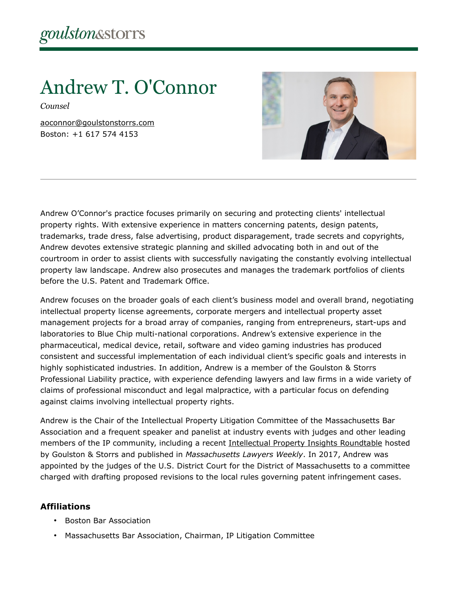# Andrew T. O'Connor

*Counsel*

[aoconnor@goulstonstorrs.com](mailto:aoconnor@goulstonstorrs.com) Boston: +1 617 574 4153



Andrew O'Connor's practice focuses primarily on securing and protecting clients' intellectual property rights. With extensive experience in matters concerning patents, design patents, trademarks, trade dress, false advertising, product disparagement, trade secrets and copyrights, Andrew devotes extensive strategic planning and skilled advocating both in and out of the courtroom in order to assist clients with successfully navigating the constantly evolving intellectual property law landscape. Andrew also prosecutes and manages the trademark portfolios of clients before the U.S. Patent and Trademark Office.

Andrew focuses on the broader goals of each client's business model and overall brand, negotiating intellectual property license agreements, corporate mergers and intellectual property asset management projects for a broad array of companies, ranging from entrepreneurs, start-ups and laboratories to Blue Chip multi-national corporations. Andrew's extensive experience in the pharmaceutical, medical device, retail, software and video gaming industries has produced consistent and successful implementation of each individual client's specific goals and interests in highly sophisticated industries. In addition, Andrew is a member of the Goulston & Storrs Professional Liability practice, with experience defending lawyers and law firms in a wide variety of claims of professional misconduct and legal malpractice, with a particular focus on defending against claims involving intellectual property rights.

Andrew is the Chair of the Intellectual Property Litigation Committee of the Massachusetts Bar Association and a frequent speaker and panelist at industry events with judges and other leading members of the IP community, including a recent [Intellectual Property Insights Roundtable](file://gsfs2nt/apps/BUS%20DEV/New%20PPT%20&%20Word%20Templates/Brand%20Fonts/content/uploads/2018/03/mlw20ip20roundtable20final-1.pdf) hosted by Goulston & Storrs and published in *Massachusetts Lawyers Weekly*. In 2017, Andrew was appointed by the judges of the U.S. District Court for the District of Massachusetts to a committee charged with drafting proposed revisions to the local rules governing patent infringement cases.

#### **Affiliations**

- Boston Bar Association
- Massachusetts Bar Association, Chairman, IP Litigation Committee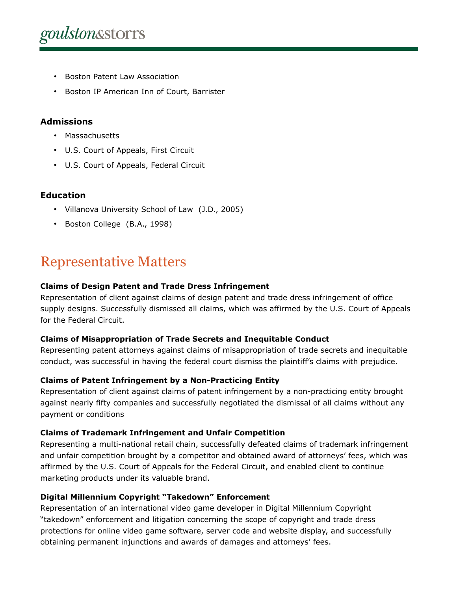- Boston Patent Law Association
- Boston IP American Inn of Court, Barrister

#### **Admissions**

- Massachusetts
- U.S. Court of Appeals, First Circuit
- U.S. Court of Appeals, Federal Circuit

#### **Education**

- Villanova University School of Law (J.D., 2005)
- Boston College (B.A., 1998)

### Representative Matters

#### **Claims of Design Patent and Trade Dress Infringement**

Representation of client against claims of design patent and trade dress infringement of office supply designs. Successfully dismissed all claims, which was affirmed by the U.S. Court of Appeals for the Federal Circuit.

#### **Claims of Misappropriation of Trade Secrets and Inequitable Conduct**

Representing patent attorneys against claims of misappropriation of trade secrets and inequitable conduct, was successful in having the federal court dismiss the plaintiff's claims with prejudice.

#### **Claims of Patent Infringement by a Non-Practicing Entity**

Representation of client against claims of patent infringement by a non-practicing entity brought against nearly fifty companies and successfully negotiated the dismissal of all claims without any payment or conditions

#### **Claims of Trademark Infringement and Unfair Competition**

Representing a multi-national retail chain, successfully defeated claims of trademark infringement and unfair competition brought by a competitor and obtained award of attorneys' fees, which was affirmed by the U.S. Court of Appeals for the Federal Circuit, and enabled client to continue marketing products under its valuable brand.

#### **Digital Millennium Copyright "Takedown" Enforcement**

Representation of an international video game developer in Digital Millennium Copyright "takedown" enforcement and litigation concerning the scope of copyright and trade dress protections for online video game software, server code and website display, and successfully obtaining permanent injunctions and awards of damages and attorneys' fees.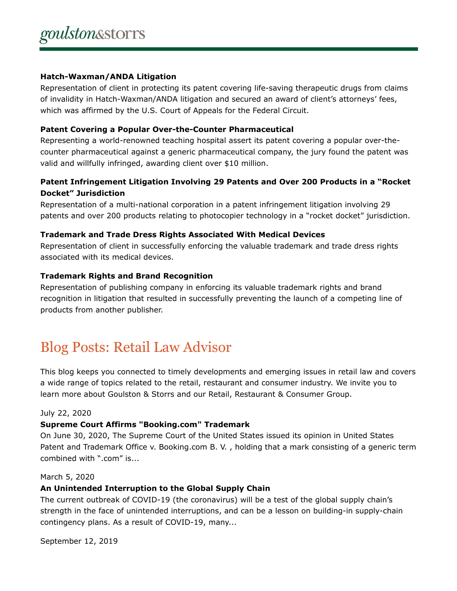#### **Hatch-Waxman/ANDA Litigation**

Representation of client in protecting its patent covering life-saving therapeutic drugs from claims of invalidity in Hatch-Waxman/ANDA litigation and secured an award of client's attorneys' fees, which was affirmed by the U.S. Court of Appeals for the Federal Circuit.

#### **Patent Covering a Popular Over-the-Counter Pharmaceutical**

Representing a world-renowned teaching hospital assert its patent covering a popular over-thecounter pharmaceutical against a generic pharmaceutical company, the jury found the patent was valid and willfully infringed, awarding client over \$10 million.

#### **Patent Infringement Litigation Involving 29 Patents and Over 200 Products in a "Rocket Docket" Jurisdiction**

Representation of a multi-national corporation in a patent infringement litigation involving 29 patents and over 200 products relating to photocopier technology in a "rocket docket" jurisdiction.

#### **Trademark and Trade Dress Rights Associated With Medical Devices**

Representation of client in successfully enforcing the valuable trademark and trade dress rights associated with its medical devices.

#### **Trademark Rights and Brand Recognition**

Representation of publishing company in enforcing its valuable trademark rights and brand recognition in litigation that resulted in successfully preventing the launch of a competing line of products from another publisher.

### Blog Posts: Retail Law Advisor

This blog keeps you connected to timely developments and emerging issues in retail law and covers a wide range of topics related to the retail, restaurant and consumer industry. We invite you to learn more about Goulston & Storrs and our Retail, Restaurant & Consumer Group.

#### July 22, 2020

#### **Supreme Court Affirms "Booking.com" Trademark**

On June 30, 2020, The Supreme Court of the United States issued its opinion in United States Patent and Trademark Office v. Booking.com B. V. , holding that a mark consisting of a generic term combined with ".com" is...

#### March 5, 2020

#### **An Unintended Interruption to the Global Supply Chain**

The current outbreak of COVID-19 (the coronavirus) will be a test of the global supply chain's strength in the face of unintended interruptions, and can be a lesson on building-in supply-chain contingency plans. As a result of COVID-19, many...

September 12, 2019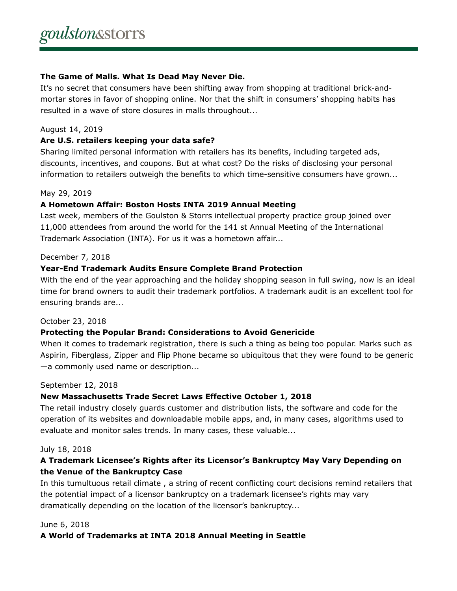#### **The Game of Malls. What Is Dead May Never Die.**

It's no secret that consumers have been shifting away from shopping at traditional brick-andmortar stores in favor of shopping online. Nor that the shift in consumers' shopping habits has resulted in a wave of store closures in malls throughout...

#### August 14, 2019

#### **Are U.S. retailers keeping your data safe?**

Sharing limited personal information with retailers has its benefits, including targeted ads, discounts, incentives, and coupons. But at what cost? Do the risks of disclosing your personal information to retailers outweigh the benefits to which time-sensitive consumers have grown...

#### May 29, 2019

#### **A Hometown Affair: Boston Hosts INTA 2019 Annual Meeting**

Last week, members of the Goulston & Storrs intellectual property practice group joined over 11,000 attendees from around the world for the 141 st Annual Meeting of the International Trademark Association (INTA). For us it was a hometown affair...

#### December 7, 2018

#### **Year-End Trademark Audits Ensure Complete Brand Protection**

With the end of the year approaching and the holiday shopping season in full swing, now is an ideal time for brand owners to audit their trademark portfolios. A trademark audit is an excellent tool for ensuring brands are...

#### October 23, 2018

#### **Protecting the Popular Brand: Considerations to Avoid Genericide**

When it comes to trademark registration, there is such a thing as being too popular. Marks such as Aspirin, Fiberglass, Zipper and Flip Phone became so ubiquitous that they were found to be generic —a commonly used name or description...

#### September 12, 2018

#### **New Massachusetts Trade Secret Laws Effective October 1, 2018**

The retail industry closely guards customer and distribution lists, the software and code for the operation of its websites and downloadable mobile apps, and, in many cases, algorithms used to evaluate and monitor sales trends. In many cases, these valuable...

#### July 18, 2018

#### **A Trademark Licensee's Rights after its Licensor's Bankruptcy May Vary Depending on the Venue of the Bankruptcy Case**

In this tumultuous retail climate , a string of recent conflicting court decisions remind retailers that the potential impact of a licensor bankruptcy on a trademark licensee's rights may vary dramatically depending on the location of the licensor's bankruptcy...

#### June 6, 2018

#### **A World of Trademarks at INTA 2018 Annual Meeting in Seattle**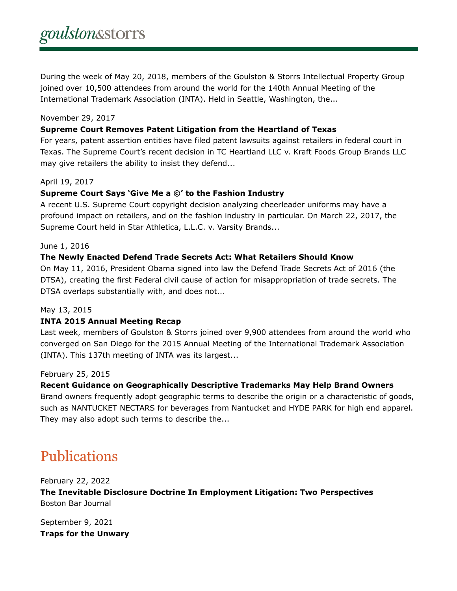During the week of May 20, 2018, members of the Goulston & Storrs Intellectual Property Group joined over 10,500 attendees from around the world for the 140th Annual Meeting of the International Trademark Association (INTA). Held in Seattle, Washington, the...

#### November 29, 2017

#### **Supreme Court Removes Patent Litigation from the Heartland of Texas**

For years, patent assertion entities have filed patent lawsuits against retailers in federal court in Texas. The Supreme Court's recent decision in TC Heartland LLC v. Kraft Foods Group Brands LLC may give retailers the ability to insist they defend...

#### April 19, 2017

#### **Supreme Court Says 'Give Me a ©' to the Fashion Industry**

A recent U.S. Supreme Court copyright decision analyzing cheerleader uniforms may have a profound impact on retailers, and on the fashion industry in particular. On March 22, 2017, the Supreme Court held in Star Athletica, L.L.C. v. Varsity Brands...

#### June 1, 2016

#### **The Newly Enacted Defend Trade Secrets Act: What Retailers Should Know**

On May 11, 2016, President Obama signed into law the Defend Trade Secrets Act of 2016 (the DTSA), creating the first Federal civil cause of action for misappropriation of trade secrets. The DTSA overlaps substantially with, and does not...

#### May 13, 2015

#### **INTA 2015 Annual Meeting Recap**

Last week, members of Goulston & Storrs joined over 9,900 attendees from around the world who converged on San Diego for the 2015 Annual Meeting of the International Trademark Association (INTA). This 137th meeting of INTA was its largest...

#### February 25, 2015

#### **Recent Guidance on Geographically Descriptive Trademarks May Help Brand Owners**

Brand owners frequently adopt geographic terms to describe the origin or a characteristic of goods, such as NANTUCKET NECTARS for beverages from Nantucket and HYDE PARK for high end apparel. They may also adopt such terms to describe the...

### Publications

February 22, 2022 **The Inevitable Disclosure Doctrine In Employment Litigation: Two Perspectives** Boston Bar Journal

September 9, 2021 **Traps for the Unwary**